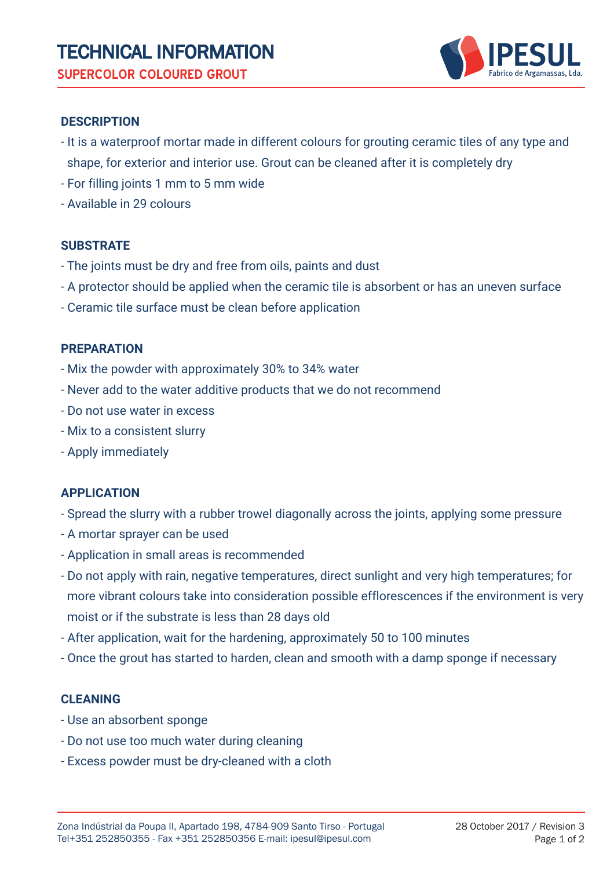

# **DESCRIPTION**

- It is a waterproof mortar made in different colours for grouting ceramic tiles of any type and shape, for exterior and interior use. Grout can be cleaned after it is completely dry
- For filling joints 1 mm to 5 mm wide
- Available in 29 colours

# **SUBSTRATE**

- The joints must be dry and free from oils, paints and dust
- A protector should be applied when the ceramic tile is absorbent or has an uneven surface
- Ceramic tile surface must be clean before application

# **PREPARATION**

- Mix the powder with approximately 30% to 34% water
- Never add to the water additive products that we do not recommend
- Do not use water in excess
- Mix to a consistent slurry
- Apply immediately

# **APPLICATION**

- Spread the slurry with a rubber trowel diagonally across the joints, applying some pressure
- A mortar sprayer can be used
- Application in small areas is recommended
- Do not apply with rain, negative temperatures, direct sunlight and very high temperatures; for more vibrant colours take into consideration possible efflorescences if the environment is very moist or if the substrate is less than 28 days old
- After application, wait for the hardening, approximately 50 to 100 minutes
- Once the grout has started to harden, clean and smooth with a damp sponge if necessary

# **CLEANING**

- Use an absorbent sponge
- Do not use too much water during cleaning
- Excess powder must be dry-cleaned with a cloth